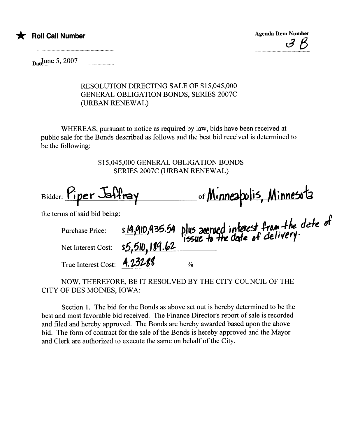



 $_{\text{Da}}$ June 5, 2007

## RESOLUTION DIRECTING SALE OF \$15,045,000 **GENERAL OBLIGATION BONDS, SERIES 2007C** (URBAN RENEWAL)

WHEREAS, pursuant to notice as required by law, bids have been received at public sale for the Bonds described as follows and the best bid received is determined to be the following:

> \$15,045,000 GENERAL OBLIGATION BONDS **SERIES 2007C (URBAN RENEWAL)**

Bidder: Piper Jaffray<br>the terms of said bid being:<br>Purchase Price: \$14,910,935.54 plus averued interest from the date of<br>Net Interest Cost: \$5,510,189.62 True Interest Cost: 4.23288  $\frac{0}{0}$ 

NOW, THEREFORE, BE IT RESOLVED BY THE CITY COUNCIL OF THE CITY OF DES MOINES, IOWA:

Section 1. The bid for the Bonds as above set out is hereby determined to be the best and most favorable bid received. The Finance Director's report of sale is recorded and filed and hereby approved. The Bonds are hereby awarded based upon the above bid. The form of contract for the sale of the Bonds is hereby approved and the Mayor and Clerk are authorized to execute the same on behalf of the City.